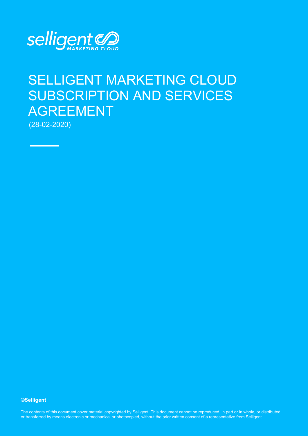

# SELLIGENT MARKETING CLOUD SUBSCRIPTION AND SERVICES AGREEMENT

(28-02-2020)

**©Selligent** 

The contents of this document cover material copyrighted by Selligent. This document cannot be reproduced, in part or in whole, or distributed or transferred by means electronic or mechanical or photocopied, without the prior written consent of a representative from Selligent.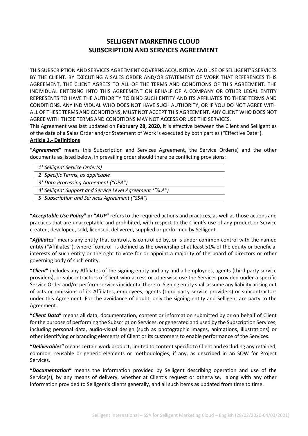# **SELLIGENT MARKETING CLOUD SUBSCRIPTION AND SERVICES AGREEMENT**

THIS SUBSCRIPTION AND SERVICES AGREEMENT GOVERNS ACQUISITION AND USE OF SELLIGENT'S SERVICES BY THE CLIENT. BY EXECUTING A SALES ORDER AND/OR STATEMENT OF WORK THAT REFERENCES THIS AGREEMENT, THE CLIENT AGREES TO ALL OF THE TERMS AND CONDITIONS OF THIS AGREEMENT. THE INDIVIDUAL ENTERING INTO THIS AGREEMENT ON BEHALF OF A COMPANY OR OTHER LEGAL ENTITY REPRESENTS TO HAVE THE AUTHORITY TO BIND SUCH ENTITY AND ITS AFFILIATES TO THESE TERMS AND CONDITIONS. ANY INDIVIDUAL WHO DOES NOT HAVE SUCH AUTHORITY, OR IF YOU DO NOT AGREE WITH ALL OF THESE TERMS AND CONDITIONS, MUST NOT ACCEPT THIS AGREEMENT. ANY CLIENT WHO DOES NOT AGREE WITH THESE TERMS AND CONDITIONS MAY NOT ACCESS OR USE THE SERVICES.

This Agreement was last updated on **February 28, 2020**, it is effective between the Client and Selligent as of the date of a Sales Order and/or Statement of Work is executed by both parties ("Effective Date").

# **Article 1.- Definitions**

**"***Agreement***"** means this Subscription and Services Agreement, the Service Order(s) and the other documents as listed below, in prevailing order should there be conflicting provisions:

| 1° Selligent Service Order(s)                            |
|----------------------------------------------------------|
| 2° Specific Terms, as applicable                         |
| 3° Data Processing Agreement ("DPA")                     |
| 4° Selligent Support and Service Level Agreement ("SLA") |
| 5° Subscription and Services Agreement ("SSA")           |
|                                                          |

**"***Acceptable Use Policy***" or "***AUP***"** refers to the required actions and practices, as well as those actions and practices that are unacceptable and prohibited, with respect to the Client's use of any product or Service created, developed, sold, licensed, delivered, supplied or performed by Selligent.

"*Affiliates*" means any entity that controls, is controlled by, or is under common control with the named entity ("Affiliates"), where "control" is defined as the ownership of at least 51% of the equity or beneficial interests of such entity or the right to vote for or appoint a majority of the board of directors or other governing body of such entity.

**"***Client***"** includes any Affiliates of the signing entity and any and all employees, agents (third party service providers), or subcontractors of Client who access or otherwise use the Services provided under a specific Service Order and/or perform services incidental thereto. Signing entity shall assume any liability arising out of acts or omissions of its Affiliates, employees, agents (third party service providers) or subcontractors under this Agreement. For the avoidance of doubt, only the signing entity and Selligent are party to the Agreement.

**"***Client Data***"** means all data, documentation, content or information submitted by or on behalf of Client for the purpose of performing the Subscription Services, or generated and used by the Subscription Services, including personal data, audio-visual design (such as photographic images, animations, illustrations) or other identifying or branding elements of Client or its customers to enable performance of the Services.

**"***Deliverables***"** means certain work product, limited to content specific to Client and excluding any retained, common, reusable or generic elements or methodologies, if any, as described in an SOW for Project Services.

**"***Documentation***"** means the information provided by Selligent describing operation and use of the Service(s), by any means of delivery, whether at Client's request or otherwise, along with any other information provided to Selligent's clients generally, and all such items as updated from time to time.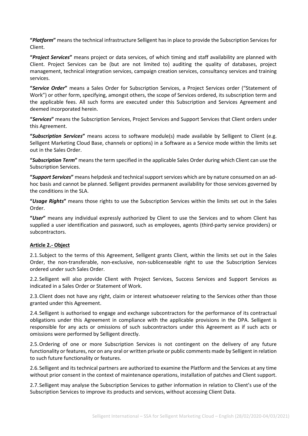**"***Platform***"** means the technical infrastructure Selligent has in place to provide the Subscription Services for Client.

**"***Project Services***"** means project or data services, of which timing and staff availability are planned with Client. Project Services can be (but are not limited to) auditing the quality of databases, project management, technical integration services, campaign creation services, consultancy services and training services.

**"***Service Order***"** means a Sales Order for Subscription Services, a Project Services order ("Statement of Work") or other form, specifying, amongst others, the scope of Services ordered, its subscription term and the applicable fees. All such forms are executed under this Subscription and Services Agreement and deemed incorporated herein.

**"***Services***"** means the Subscription Services, Project Services and Support Services that Client orders under this Agreement.

**"***Subscription Services***"** means access to software module(s) made available by Selligent to Client (e.g. Selligent Marketing Cloud Base, channels or options) in a Software as a Service mode within the limits set out in the Sales Order.

**"***Subscription Term***"** means the term specified in the applicable Sales Order during which Client can use the Subscription Services.

**"***Support Services***"** means helpdesk and technical support services which are by nature consumed on an adhoc basis and cannot be planned. Selligent provides permanent availability for those services governed by the conditions in the SLA.

**"***Usage Rights***"** means those rights to use the Subscription Services within the limits set out in the Sales Order.

**"***User***"** means any individual expressly authorized by Client to use the Services and to whom Client has supplied a user identification and password, such as employees, agents (third-party service providers) or subcontractors.

#### **Article 2.- Object**

2.1.Subject to the terms of this Agreement, Selligent grants Client, within the limits set out in the Sales Order, the non-transferable, non-exclusive, non-sublicenseable right to use the Subscription Services ordered under such Sales Order.

2.2.Selligent will also provide Client with Project Services, Success Services and Support Services as indicated in a Sales Order or Statement of Work.

2.3.Client does not have any right, claim or interest whatsoever relating to the Services other than those granted under this Agreement.

2.4.Selligent is authorised to engage and exchange subcontractors for the performance of its contractual obligations under this Agreement in compliance with the applicable provisions in the DPA. Selligent is responsible for any acts or omissions of such subcontractors under this Agreement as if such acts or omissions were performed by Selligent directly.

2.5.Ordering of one or more Subscription Services is not contingent on the delivery of any future functionality or features, nor on any oral or written private or public comments made by Selligent in relation to such future functionality or features.

2.6.Selligent and its technical partners are authorized to examine the Platform and the Services at any time without prior consent in the context of maintenance operations, installation of patches and Client support.

2.7.Selligent may analyse the Subscription Services to gather information in relation to Client's use of the Subscription Services to improve its products and services, without accessing Client Data.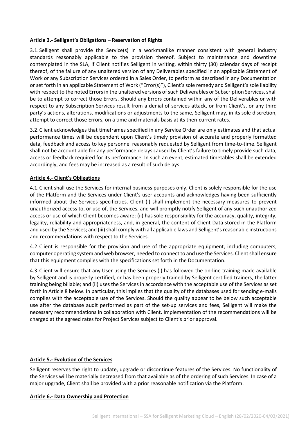#### **Article 3.- Selligent's Obligations – Reservation of Rights**

3.1.Selligent shall provide the Service(s) in a workmanlike manner consistent with general industry standards reasonably applicable to the provision thereof. Subject to maintenance and downtime contemplated in the SLA, if Client notifies Selligent in writing, within thirty (30) calendar days of receipt thereof, of the failure of any unaltered version of any Deliverables specified in an applicable Statement of Work or any Subscription Services ordered in a Sales Order, to perform as described in any Documentation or set forth in an applicable Statement of Work ("Error(s)"), Client's sole remedy and Selligent's sole liability with respect to the noted Errors in the unaltered versions of such Deliverables or Subscription Services, shall be to attempt to correct those Errors. Should any Errors contained within any of the Deliverables or with respect to any Subscription Services result from a denial of services attack, or from Client's, or any third party's actions, alterations, modifications or adjustments to the same, Selligent may, in its sole discretion, attempt to correct those Errors, on a time and materials basis at its then-current rates.

3.2.Client acknowledges that timeframes specified in any Service Order are only estimates and that actual performance times will be dependent upon Client's timely provision of accurate and properly formatted data, feedback and access to key personnel reasonably requested by Selligent from time-to-time. Selligent shall not be account able for any performance delays caused by Client's failure to timely provide such data, access or feedback required for its performance. In such an event, estimated timetables shall be extended accordingly, and fees may be increased as a result of such delays.

#### **Article 4.- Client's Obligations**

4.1.Client shall use the Services for internal business purposes only. Client is solely responsible for the use of the Platform and the Services under Client's user accounts and acknowledges having been sufficiently informed about the Services specificities. Client (i) shall implement the necessary measures to prevent unauthorized access to, or use of, the Services, and will promptly notify Selligent of any such unauthorized access or use of which Client becomes aware; (ii) has sole responsibility for the accuracy, quality, integrity, legality, reliability and appropriateness, and, in general, the content of Client Data stored in the Platform and used by the Services; and (iii) shall comply with all applicable laws and Selligent's reasonable instructions and recommendations with respect to the Services.

4.2.Client is responsible for the provision and use of the appropriate equipment, including computers, computer operating system and web browser, needed to connect to and use the Services. Client shall ensure that this equipment complies with the specifications set forth in the Documentation.

4.3.Client will ensure that any User using the Services (i) has followed the on-line training made available by Selligent and is properly certified, or has been properly trained by Selligent certified trainers, the latter training being billable; and (ii) uses the Services in accordance with the acceptable use of the Services as set forth in Article 8 below. In particular, this implies that the quality of the databases used for sending e-mails complies with the acceptable use of the Services. Should the quality appear to be below such acceptable use after the database audit performed as part of the set-up services and fees, Selligent will make the necessary recommendations in collaboration with Client. Implementation of the recommendations will be charged at the agreed rates for Project Services subject to Client's prior approval.

#### **Article 5.- Evolution of the Services**

Selligent reserves the right to update, upgrade or discontinue features of the Services. No functionality of the Services will be materially decreased from that available as of the ordering of such Services. In case of a major upgrade, Client shall be provided with a prior reasonable notification via the Platform.

#### **Article 6.- Data Ownership and Protection**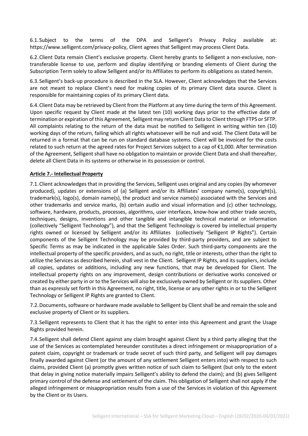6.1.Subject to the terms of the DPA and Selligent's Privacy Policy available at: https://www.selligent.com/privacy-policy, Client agrees that Selligent may process Client Data.

6.2.Client Data remain Client's exclusive property. Client hereby grants to Selligent a non-exclusive, nontransferable license to use, perform and display identifying or branding elements of Client during the Subscription Term solely to allow Selligent and/or its Affiliates to perform its obligations as stated herein.

6.3.Selligent's back-up procedure is described in the SLA. However, Client acknowledges that the Services are not meant to replace Client's need for making copies of its primary Client data source. Client is responsible for maintaining copies of its primary Client data.

6.4.Client Data may be retrieved by Client from the Platform at any time during the term of this Agreement. Upon specific request by Client made at the latest ten (10) working days prior to the effective date of termination or expiration of this Agreement, Selligent may return Client Data to Client through FTPS or SFTP. All complaints relating to the return of the data must be notified to Selligent in writing within ten (10) working days of the return, failing which all rights whatsoever will be null and void. The Client Data will be returned in a format that can be run on standard database systems. Client will be invoiced for the costs related to such return at the agreed rates for Project Services subject to a cap of €1,000. After termination of the Agreement, Selligent shall have no obligation to maintain or provide Client Data and shall thereafter, delete all Client Data in its systems or otherwise in its possession or control.

#### **Article 7.- Intellectual Property**

7.1.Client acknowledges that in providing the Services, Selligent uses original and any copies (by whomever produced), updates or extensions of (a) Selligent and/or its Affiliates' company name(s), copyright(s), trademark(s), logo(s), domain name(s), the product and service name(s) associated with the Services and other trademarks and service marks, (b) certain audio and visual information and (c) other technology, software, hardware, products, processes, algorithms, user interfaces, know-how and other trade secrets, techniques, designs, inventions and other tangible and intangible technical material or information (collectively "Selligent Technology"), and that the Selligent Technology is covered by intellectual property rights owned or licensed by Selligent and/or its Affiliates (collectively "Selligent IP Rights"). Certain components of the Selligent Technology may be provided by third-party providers, and are subject to Specific Terms as may be indicated in the applicable Sales Order. Such third-party components are the intellectual property of the specific providers, and as such, no right, title or interests, other than the right to utilize the Services as described herein, shall vest in the Client. Selligent IP Rights, and its suppliers, include all copies, updates or additions, including any new functions, that may be developed for Client. The intellectual property rights on any improvement, design contributions or derivative works conceived or created by either party in or to the Services will also be exclusively owned by Selligent or its suppliers. Other than as expressly set forth in this Agreement, no right, title, license or any other rights in or to the Selligent Technology or Selligent IP Rights are granted to Client.

7.2.Documents, software or hardware made available to Selligent by Client shall be and remain the sole and exclusive property of Client or its suppliers.

7.3.Selligent represents to Client that it has the right to enter into this Agreement and grant the Usage Rights provided herein.

7.4.Selligent shall defend Client against any claim brought against Client by a third party alleging that the use of the Services as contemplated hereunder constitutes a direct infringement or misappropriation of a patent claim, copyright or trademark or trade secret of such third party, and Selligent will pay damages finally awarded against Client (or the amount of any settlement Selligent enters into) with respect to such claims, provided Client (a) promptly gives written notice of such claim to Selligent (but only to the extent that delay in giving notice materially impairs Selligent's ability to defend the claim); and (b) gives Selligent primary control of the defense and settlement of the claim. This obligation of Selligent shall not apply if the alleged infringement or misappropriation results from a use of the Services in violation of this Agreement by the Client or its Users.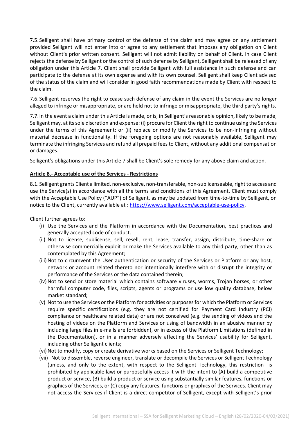7.5.Selligent shall have primary control of the defense of the claim and may agree on any settlement provided Selligent will not enter into or agree to any settlement that imposes any obligation on Client without Client's prior written consent. Selligent will not admit liability on behalf of Client. In case Client rejects the defense by Selligent or the control of such defense by Selligent, Selligent shall be released of any obligation under this Article 7. Client shall provide Selligent with full assistance in such defense and can participate to the defense at its own expense and with its own counsel. Selligent shall keep Client advised of the status of the claim and will consider in good faith recommendations made by Client with respect to the claim.

7.6.Selligent reserves the right to cease such defense of any claim in the event the Services are no longer alleged to infringe or misappropriate, or are held not to infringe or misappropriate, the third party's rights.

7.7.In the event a claim under this Article is made, or is, in Selligent's reasonable opinion, likely to be made, Selligent may, at its sole discretion and expense: (i) procure for Client the right to continue using the Services under the terms of this Agreement; or (ii) replace or modify the Services to be non-infringing without material decrease in functionality. If the foregoing options are not reasonably available, Selligent may terminate the infringing Services and refund all prepaid fees to Client, without any additional compensation or damages.

Selligent's obligations under this Article 7 shall be Client's sole remedy for any above claim and action.

#### **Article 8.- Acceptable use of the Services - Restrictions**

8.1.Selligent grants Client a limited, non-exclusive, non-transferable, non-sublicenseable, right to access and use the Service(s) in accordance with all the terms and conditions of this Agreement. Client must comply with the Acceptable Use Policy ("AUP") of Selligent, as may be updated from time-to-time by Selligent, on notice to the Client, currently available at : [https://www.selligent.com/acceptable-use-policy.](https://www.selligent.com/acceptable-use-policy)

Client further agrees to:

- (i) Use the Services and the Platform in accordance with the Documentation, best practices and generally accepted code of conduct.
- (ii) Not to license, sublicense, sell, resell, rent, lease, transfer, assign, distribute, time-share or otherwise commercially exploit or make the Services available to any third party, other than as contemplated by this Agreement;
- (iii) Not to circumvent the User authentication or security of the Services or Platform or any host, network or account related thereto nor intentionally interfere with or disrupt the integrity or performance of the Services or the data contained therein;
- (iv) Not to send or store material which contains software viruses, worms, Trojan horses, or other harmful computer code, files, scripts, agents or programs or use low quality database, below market standard;
- (v) Not to use the Services or the Platform for activities or purposes for which the Platform or Services require specific certifications (e.g. they are not certified for Payment Card Industry (PCI) compliance or healthcare related data) or are not conceived (e.g. the sending of videos and the hosting of videos on the Platform and Services or using of bandwidth in an abusive manner by including large files in e-mails are forbidden), or in excess of the Platform Limitations (defined in the Documentation), or in a manner adversely affecting the Services' usability for Selligent, including other Selligent clients;
- (vi) Not to modify, copy or create derivative works based on the Services or Selligent Technology;
- (vii) Not to dissemble, reverse engineer, translate or decompile the Services or Selligent Technology (unless, and only to the extent, with respect to the Selligent Technology, this restriction is prohibited by applicable law) or purposefully access it with the intent to (A) build a competitive product or service, (B) build a product or service using substantially similar features, functions or graphics of the Services, or (C) copy any features, functions or graphics of the Services. Client may not access the Services if Client is a direct competitor of Selligent, except with Selligent's prior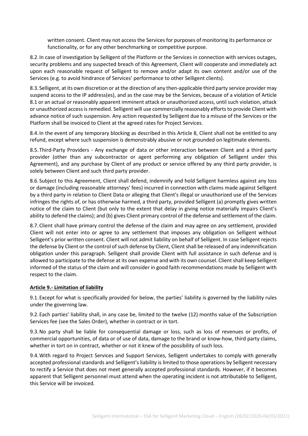written consent. Client may not access the Services for purposes of monitoring its performance or functionality, or for any other benchmarking or competitive purpose.

8.2.In case of investigation by Selligent of the Platform or the Services in connection with services outages, security problems and any suspected breach of this Agreement, Client will cooperate and immediately act upon each reasonable request of Selligent to remove and/or adapt its own content and/or use of the Services (e.g. to avoid hindrance of Services' performance to other Selligent clients).

8.3.Selligent, at its own discretion or at the direction of any then-applicable third party service provider may suspend access to the IP address(es), and as the case may be the Services, because of a violation of Article 8.1 or an actual or reasonably apparent imminent attack or unauthorized access, until such violation, attack or unauthorized access is remedied. Selligent will use commercially reasonably efforts to provide Client with advance notice of such suspension. Any action requested by Selligent due to a misuse of the Services or the Platform shall be invoiced to Client at the agreed rates for Project Services.

8.4.In the event of any temporary blocking as described in this Article 8, Client shall not be entitled to any refund, except where such suspension is demonstrably abusive or not grounded on legitimate elements.

8.5.Third-Party Providers - Any exchange of data or other interaction between Client and a third party provider (other than any subcontractor or agent performing any obligation of Selligent under this Agreement), and any purchase by Client of any product or service offered by any third party provider, is solely between Client and such third party provider.

8.6.Subject to this Agreement, Client shall defend, indemnify and hold Selligent harmless against any loss or damage (including reasonable attorneys' fees) incurred in connection with claims made against Selligent by a third party in relation to Client Data or alleging that Client's illegal or unauthorized use of the Services infringes the rights of, or has otherwise harmed, a third party, provided Selligent (a) promptly gives written notice of the claim to Client (but only to the extent that delay in giving notice materially impairs Client's ability to defend the claims); and (b) gives Client primary control of the defense and settlement of the claim.

8.7.Client shall have primary control the defense of the claim and may agree on any settlement, provided Client will not enter into or agree to any settlement that imposes any obligation on Selligent without Selligent's prior written consent. Client will not admit liability on behalf of Selligent. In case Selligent rejects the defense by Client or the control of such defense by Client, Client shall be released of any indemnification obligation under this paragraph. Selligent shall provide Client with full assistance in such defense and is allowed to participate to the defense at its own expense and with its own counsel. Client shall keep Selligent informed of the status of the claim and will consider in good faith recommendations made by Selligent with respect to the claim.

#### **Article 9.- Limitation of liability**

9.1.Except for what is specifically provided for below, the parties' liability is governed by the liability rules under the governing law.

9.2.Each parties' liability shall, in any case be, limited to the twelve (12) months value of the Subscription Services fee (see the Sales Order), whether in contract or in tort.

9.3.No party shall be liable for consequential damage or loss, such as loss of revenues or profits, of commercial opportunities, of data or of use of data, damage to the brand or know-how, third party claims, whether in tort on in contract, whether or not it knew of the possibility of such loss.

9.4.With regard to Project Services and Support Services, Selligent undertakes to comply with generally accepted professional standards and Selligent's liability is limited to those operations by Selligent necessary to rectify a Service that does not meet generally accepted professional standards. However, if it becomes apparent that Selligent personnel must attend when the operating incident is not attributable to Selligent, this Service will be invoiced.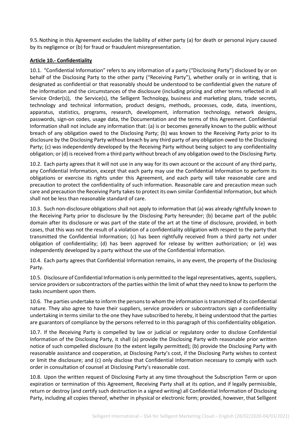9.5.Nothing in this Agreement excludes the liability of either party (a) for death or personal injury caused by its negligence or (b) for fraud or fraudulent misrepresentation.

#### **Article 10.- Confidentiality**

10.1. "Confidential Information" refers to any information of a party ("Disclosing Party") disclosed by or on behalf of the Disclosing Party to the other party ("Receiving Party"), whether orally or in writing, that is designated as confidential or that reasonably should be understood to be confidential given the nature of the information and the circumstances of the disclosure (including pricing and other terms reflected in all Service Order(s)), the Service(s), the Selligent Technology, business and marketing plans, trade secrets, technology and technical information, product designs, methods, processes, code, data, inventions, apparatus, statistics, programs, research, development, information technology, network designs, passwords, sign-on codes, usage data, the Documentation and the terms of this Agreement. Confidential Information shall not include any information that: (a) is or becomes generally known to the public without breach of any obligation owed to the Disclosing Party; (b) was known to the Receiving Party prior to its disclosure by the Disclosing Party without breach by any third party of any obligation owed to the Disclosing Party; (c) was independently developed by the Receiving Party without being subject to any confidentiality obligation; or (d) is received from a third party without breach of any obligation owed to the Disclosing Party.

10.2. Each party agrees that it will not use in any way for its own account or the account of any third party, any Confidential Information, except that each party may use the Confidential Information to perform its obligations or exercise its rights under this Agreement, and each party will take reasonable care and precaution to protect the confidentiality of such information. Reasonable care and precaution mean such care and precaution the Receiving Party takes to protect its own similar Confidential Information, but which shall not be less than reasonable standard of care.

10.3. Such non-disclosure obligations shall not apply to information that (a) was already rightfully known to the Receiving Party prior to disclosure by the Disclosing Party hereunder; (b) became part of the public domain after its disclosure or was part of the state of the art at the time of disclosure, provided, in both cases, that this was not the result of a violation of a confidentiality obligation with respect to the party that transmitted the Confidential Information; (c) has been rightfully received from a third party not under obligation of confidentiality; (d) has been approved for release by written authorization; or (e) was independently developed by a party without the use of the Confidential Information.

10.4. Each party agrees that Confidential Information remains, in any event, the property of the Disclosing Party.

10.5. Disclosure of Confidential Information is only permitted to the legal representatives, agents, suppliers, service providers or subcontractors of the parties within the limit of what they need to know to perform the tasks incumbent upon them.

10.6. The parties undertake to inform the persons to whom the information is transmitted of its confidential nature. They also agree to have their suppliers, service providers or subcontractors sign a confidentiality undertaking in terms similar to the one they have subscribed to hereby, it being understood that the parties are guarantors of compliance by the persons referred to in this paragraph of this confidentiality obligation.

10.7. If the Receiving Party is compelled by law or judicial or regulatory order to disclose Confidential Information of the Disclosing Party, it shall (a) provide the Disclosing Party with reasonable prior written notice of such compelled disclosure (to the extent legally permitted); (b) provide the Disclosing Party with reasonable assistance and cooperation, at Disclosing Party's cost, if the Disclosing Party wishes to contest or limit the disclosure; and (c) only disclose that Confidential Information necessary to comply with such order in consultation of counsel at Disclosing Party's reasonable cost.

10.8. Upon the written request of Disclosing Party at any time throughout the Subscription Term or upon expiration or termination of this Agreement, Receiving Party shall at its option, and if legally permissible, return or destroy (and certify such destruction in a signed writing) all Confidential Information of Disclosing Party, including all copies thereof, whether in physical or electronic form; provided, however, that Selligent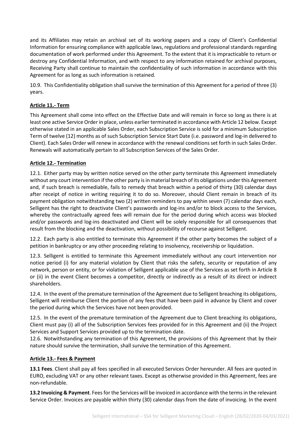and its Affiliates may retain an archival set of its working papers and a copy of Client's Confidential Information for ensuring compliance with applicable laws, regulations and professional standards regarding documentation of work performed under this Agreement. To the extent that it is impracticable to return or destroy any Confidential Information, and with respect to any information retained for archival purposes, Receiving Party shall continue to maintain the confidentiality of such information in accordance with this Agreement for as long as such information is retained.

10.9. This Confidentiality obligation shall survive the termination of this Agreement for a period of three (3) years.

# **Article 11.- Term**

This Agreement shall come into effect on the Effective Date and will remain in force so long as there is at least one active Service Order in place, unless earlier terminated in accordance with Article 12 below. Except otherwise stated in an applicable Sales Order, each Subscription Service is sold for a minimum Subscription Term of twelve (12) months as of such Subscription Service Start Date (i.e. password and log-in delivered to Client). Each Sales Order will renew in accordance with the renewal conditions set forth in such Sales Order. Renewals will automatically pertain to all Subscription Services of the Sales Order.

# **Article 12.- Termination**

12.1. Either party may by written notice served on the other party terminate this Agreement immediately without any court intervention if the other party is in material breach of its obligations under this Agreement and, if such breach is remediable, fails to remedy that breach within a period of thirty (30) calendar days after receipt of notice in writing requiring it to do so. Moreover, should Client remain in breach of its payment obligation notwithstanding two (2) written reminders to pay within seven (7) calendar days each, Selligent has the right to deactivate Client's passwords and log-ins and/or to block access to the Services, whereby the contractually agreed fees will remain due for the period during which access was blocked and/or passwords and log-ins deactivated and Client will be solely responsible for all consequences that result from the blocking and the deactivation, without possibility of recourse against Selligent.

12.2. Each party is also entitled to terminate this Agreement if the other party becomes the subject of a petition in bankruptcy or any other proceeding relating to insolvency, receivership or liquidation.

12.3. Selligent is entitled to terminate this Agreement immediately without any court intervention nor notice period (i) for any material violation by Client that risks the safety, security or reputation of any network, person or entity, or for violation of Selligent applicable use of the Services as set forth in Article 8 or (ii) in the event Client becomes a competitor, directly or indirectly as a result of its direct or indirect shareholders.

12.4. In the event of the premature termination of the Agreement due to Selligent breaching its obligations, Selligent will reimburse Client the portion of any fees that have been paid in advance by Client and cover the period during which the Services have not been provided.

12.5. In the event of the premature termination of the Agreement due to Client breaching its obligations, Client must pay (i) all of the Subscription Services fees provided for in this Agreement and (ii) the Project Services and Support Services provided up to the termination date.

12.6. Notwithstanding any termination of this Agreement, the provisions of this Agreement that by their nature should survive the termination, shall survive the termination of this Agreement.

# **Article 13.- Fees & Payment**

**13.1 Fees**. Client shall pay all fees specified in all executed Services Order hereunder. All fees are quoted in EURO, excluding VAT or any other relevant taxes. Except as otherwise provided in this Agreement, fees are non-refundable.

**13.2 Invoicing & Payment**. Fees for the Services will be invoiced in accordance with the terms in the relevant Service Order. Invoices are payable within thirty (30) calendar days from the date of invoicing. In the event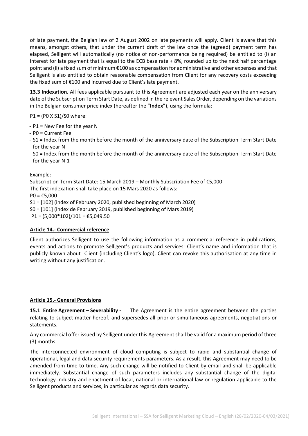of late payment, the Belgian law of 2 August 2002 on late payments will apply. Client is aware that this means, amongst others, that under the current draft of the law once the (agreed) payment term has elapsed, Selligent will automatically (no notice of non-performance being required) be entitled to (i) an interest for late payment that is equal to the ECB base rate  $+ 8\%$ , rounded up to the next half percentage point and (ii) a fixed sum of minimum €100 as compensation for administrative and other expenses and that Selligent is also entitled to obtain reasonable compensation from Client for any recovery costs exceeding the fixed sum of €100 and incurred due to Client's late payment.

**13.3 Indexation.** All fees applicable pursuant to this Agreement are adjusted each year on the anniversary date of the Subscription Term Start Date, as defined in the relevant Sales Order, depending on the variations in the Belgian consumer price index (hereafter the "**Index**"), using the formula:

#### P1 = (P0 X S1)/S0 where:

- P1 = New Fee for the year N
- P0 = Current Fee
- S1 = Index from the month before the month of the anniversary date of the Subscription Term Start Date for the year N
- S0 = Index from the month before the month of the anniversary date of the Subscription Term Start Date for the year N-1

#### Example:

Subscription Term Start Date: 15 March 2019 – Monthly Subscription Fee of €5,000 The first indexation shall take place on 15 Mars 2020 as follows:  $PO = £5,000$ S1 = [102] (index of February 2020, published beginning of March 2020) S0 = [101] (index de February 2019, published beginning of Mars 2019)  $P1 = (5,000*102)/101 = \text{\textsterling}5,049.50$ 

#### **Article 14.- Commercial reference**

Client authorizes Selligent to use the following information as a commercial reference in publications, events and actions to promote Selligent's products and services: Client's name and information that is publicly known about Client (including Client's logo). Client can revoke this authorisation at any time in writing without any justification.

#### **Article 15.- General Provisions**

**15.1**. **Entire Agreement – Severability -** The Agreement is the entire agreement between the parties relating to subject matter hereof, and supersedes all prior or simultaneous agreements, negotiations or statements.

Any commercial offer issued by Selligent under this Agreement shall be valid for a maximum period of three (3) months.

The interconnected environment of cloud computing is subject to rapid and substantial change of operational, legal and data security requirements parameters. As a result, this Agreement may need to be amended from time to time. Any such change will be notified to Client by email and shall be applicable immediately. Substantial change of such parameters includes any substantial change of the digital technology industry and enactment of local, national or international law or regulation applicable to the Selligent products and services, in particular as regards data security.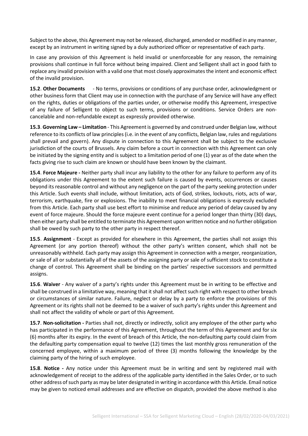Subject to the above, this Agreement may not be released, discharged, amended or modified in any manner, except by an instrument in writing signed by a duly authorized officer or representative of each party.

In case any provision of this Agreement is held invalid or unenforceable for any reason, the remaining provisions shall continue in full force without being impaired. Client and Selligent shall act in good faith to replace any invalid provision with a valid one that most closely approximates the intent and economic effect of the invalid provision.

**15.2**. **Other Documents** - No terms, provisions or conditions of any purchase order, acknowledgment or other business form that Client may use in connection with the purchase of any Service will have any effect on the rights, duties or obligations of the parties under, or otherwise modify this Agreement, irrespective of any failure of Selligent to object to such terms, provisions or conditions. Service Orders are noncancelable and non-refundable except as expressly provided otherwise.

**15.3**. **Governing Law – Limitation** - This Agreement is governed by and construed under Belgian law, without reference to its conflicts of law principles (i.e. in the event of any conflicts, Belgian law, rules and regulations shall prevail and govern). Any dispute in connection to this Agreement shall be subject to the exclusive jurisdiction of the courts of Brussels. Any claim before a court in connection with this Agreement can only be initiated by the signing entity and is subject to a limitation period of one (1) year as of the date when the facts giving rise to such claim are known or should have been known by the claimant.

**15.4**. **Force Majeure -** Neither party shall incur any liability to the other for any failure to perform any of its obligations under this Agreement to the extent such failure is caused by events, occurrences or causes beyond its reasonable control and without any negligence on the part of the party seeking protection under this Article. Such events shall include, without limitation, acts of God, strikes, lockouts, riots, acts of war, terrorism, earthquake, fire or explosions. The inability to meet financial obligations is expressly excluded from this Article. Each party shall use best effort to minimise and reduce any period of delay caused by any event of force majeure. Should the force majeure event continue for a period longer than thirty (30) days, then either party shall be entitled to terminate this Agreement upon written notice and no further obligation shall be owed by such party to the other party in respect thereof.

**15.5**. **Assignment** - Except as provided for elsewhere in this Agreement, the parties shall not assign this Agreement (or any portion thereof) without the other party's written consent, which shall not be unreasonably withheld. Each party may assign this Agreement in connection with a merger, reorganization, or sale of all or substantially all of the assets of the assigning party or sale of sufficient stock to constitute a change of control. This Agreement shall be binding on the parties' respective successors and permitted assigns.

**15.6**. **Waiver** - Any waiver of a party's rights under this Agreement must be in writing to be effective and shall be construed in a limitative way, meaning that it shall not affect such right with respect to other breach or circumstances of similar nature. Failure, neglect or delay by a party to enforce the provisions of this Agreement or its rights shall not be deemed to be a waiver of such party's rights under this Agreement and shall not affect the validity of whole or part of this Agreement.

**15.7**. **Non-solicitation -** Parties shall not, directly or indirectly, solicit any employee of the other party who has participated in the performance of this Agreement, throughout the term of this Agreement and for six (6) months after its expiry. In the event of breach of this Article, the non-defaulting party could claim from the defaulting party compensation equal to twelve (12) times the last monthly gross remuneration of the concerned employee, within a maximum period of three (3) months following the knowledge by the claiming party of the hiring of such employee.

**15.8**. **Notice -** Any notice under this Agreement must be in writing and sent by registered mail with acknowledgement of receipt to the address of the applicable party identified in the Sales Order, or to such other address of such party as may be later designated in writing in accordance with this Article. Email notice may be given to noticed email addresses and are effective on dispatch, provided the above method is also